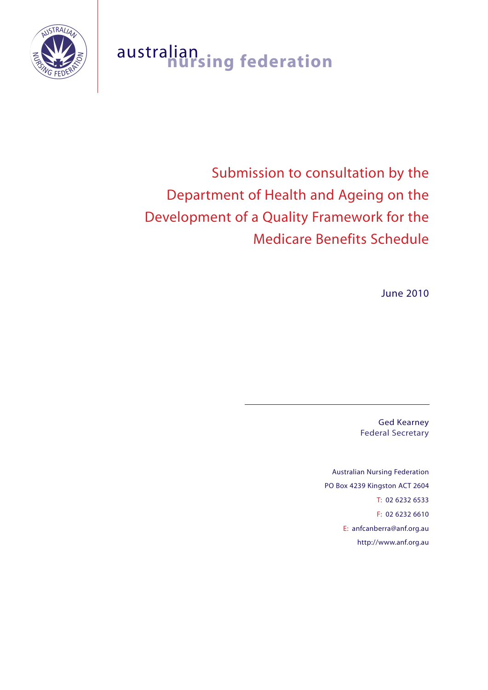

## australian **nursing federation**

# Submission to consultation by the Department of Health and Ageing on the Development of a Quality Framework for the Medicare Benefits Schedule

June 2010

Ged Kearney Federal Secretary

Australian Nursing Federation PO Box 4239 Kingston ACT 2604 T: 02 6232 6533 F: 02 6232 6610 E: anfcanberra@anf.org.au http://www.anf.org.au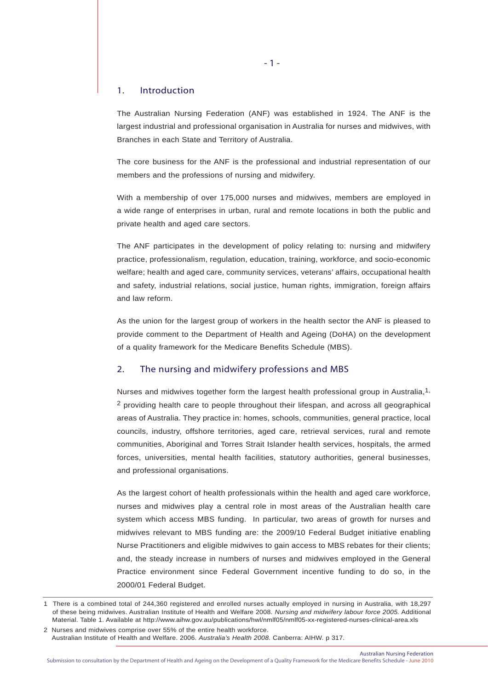## 1. Introduction

The Australian Nursing Federation (ANF) was established in 1924. The ANF is the largest industrial and professional organisation in Australia for nurses and midwives, with Branches in each State and Territory of Australia.

The core business for the ANF is the professional and industrial representation of our members and the professions of nursing and midwifery.

With a membership of over 175,000 nurses and midwives, members are employed in a wide range of enterprises in urban, rural and remote locations in both the public and private health and aged care sectors.

The ANF participates in the development of policy relating to: nursing and midwifery practice, professionalism, regulation, education, training, workforce, and socio-economic welfare; health and aged care, community services, veterans' affairs, occupational health and safety, industrial relations, social justice, human rights, immigration, foreign affairs and law reform.

As the union for the largest group of workers in the health sector the ANF is pleased to provide comment to the Department of Health and Ageing (DoHA) on the development of a quality framework for the Medicare Benefits Schedule (MBS).

## 2. The nursing and midwifery professions and MBS

Nurses and midwives together form the largest health professional group in Australia,<sup>1,</sup> 2 providing health care to people throughout their lifespan, and across all geographical areas of Australia. They practice in: homes, schools, communities, general practice, local councils, industry, offshore territories, aged care, retrieval services, rural and remote communities, Aboriginal and Torres Strait Islander health services, hospitals, the armed forces, universities, mental health facilities, statutory authorities, general businesses, and professional organisations.

As the largest cohort of health professionals within the health and aged care workforce, nurses and midwives play a central role in most areas of the Australian health care system which access MBS funding. In particular, two areas of growth for nurses and midwives relevant to MBS funding are: the 2009/10 Federal Budget initiative enabling Nurse Practitioners and eligible midwives to gain access to MBS rebates for their clients; and, the steady increase in numbers of nurses and midwives employed in the General Practice environment since Federal Government incentive funding to do so, in the 2000/01 Federal Budget.

<sup>1</sup> There is a combined total of 244,360 registered and enrolled nurses actually employed in nursing in Australia, with 18,297 of these being midwives. Australian Institute of Health and Welfare 2008. *Nursing and midwifery labour force 2005.* Additional Material. Table 1. Available at http://www.aihw.gov.au/publications/hwl/nmlf05/nmlf05-xx-registered-nurses-clinical-area.xls

<sup>2</sup> Nurses and midwives comprise over 55% of the entire health workforce. Australian Institute of Health and Welfare. 2006. *Australia's Health 2008.* Canberra: AIHW. p 317.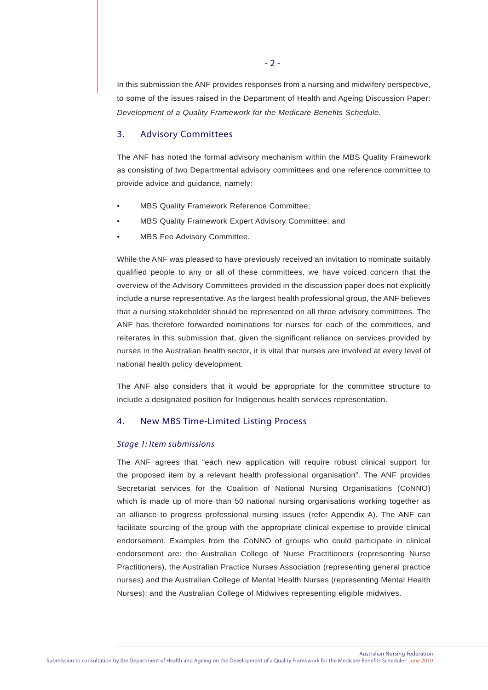In this submission the ANF provides responses from a nursing and midwifery perspective, to some of the issues raised in the Department of Health and Ageing Discussion Paper: *Development of a Quality Framework for the Medicare Benefits Schedule*.

## 3. Advisory Committees

The ANF has noted the formal advisory mechanism within the MBS Quality Framework as consisting of two Departmental advisory committees and one reference committee to provide advice and guidance, namely:

- MBS Quality Framework Reference Committee;
- MBS Quality Framework Expert Advisory Committee; and
- MBS Fee Advisory Committee.

While the ANF was pleased to have previously received an invitation to nominate suitably qualified people to any or all of these committees, we have voiced concern that the overview of the Advisory Committees provided in the discussion paper does not explicitly include a nurse representative. As the largest health professional group, the ANF believes that a nursing stakeholder should be represented on all three advisory committees. The ANF has therefore forwarded nominations for nurses for each of the committees, and reiterates in this submission that, given the significant reliance on services provided by nurses in the Australian health sector, it is vital that nurses are involved at every level of national health policy development.

The ANF also considers that it would be appropriate for the committee structure to include a designated position for Indigenous health services representation.

## 4. New MBS Time-Limited Listing Process

#### *Stage 1: Item submissions*

The ANF agrees that "each new application will require robust clinical support for the proposed item by a relevant health professional organisation". The ANF provides Secretariat services for the Coalition of National Nursing Organisations (CoNNO) which is made up of more than 50 national nursing organisations working together as an alliance to progress professional nursing issues (refer Appendix A). The ANF can facilitate sourcing of the group with the appropriate clinical expertise to provide clinical endorsement. Examples from the CoNNO of groups who could participate in clinical endorsement are: the Australian College of Nurse Practitioners (representing Nurse Practitioners), the Australian Practice Nurses Association (representing general practice nurses) and the Australian College of Mental Health Nurses (representing Mental Health Nurses); and the Australian College of Midwives representing eligible midwives.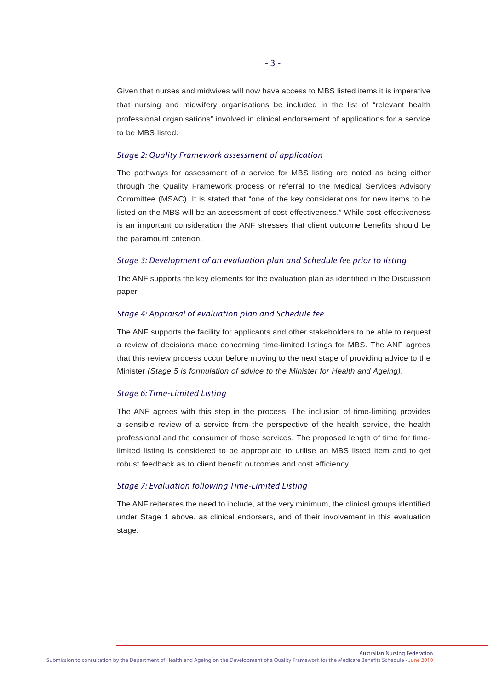Given that nurses and midwives will now have access to MBS listed items it is imperative that nursing and midwifery organisations be included in the list of "relevant health professional organisations" involved in clinical endorsement of applications for a service to be MBS listed.

## *Stage 2: Quality Framework assessment of application*

The pathways for assessment of a service for MBS listing are noted as being either through the Quality Framework process or referral to the Medical Services Advisory Committee (MSAC). It is stated that "one of the key considerations for new items to be listed on the MBS will be an assessment of cost-effectiveness." While cost-effectiveness is an important consideration the ANF stresses that client outcome benefits should be the paramount criterion.

## *Stage 3: Development of an evaluation plan and Schedule fee prior to listing*

The ANF supports the key elements for the evaluation plan as identified in the Discussion paper.

#### *Stage 4: Appraisal of evaluation plan and Schedule fee*

The ANF supports the facility for applicants and other stakeholders to be able to request a review of decisions made concerning time-limited listings for MBS. The ANF agrees that this review process occur before moving to the next stage of providing advice to the Minister *(Stage 5 is formulation of advice to the Minister for Health and Ageing)*.

## *Stage 6: Time-Limited Listing*

The ANF agrees with this step in the process. The inclusion of time-limiting provides a sensible review of a service from the perspective of the health service, the health professional and the consumer of those services. The proposed length of time for timelimited listing is considered to be appropriate to utilise an MBS listed item and to get robust feedback as to client benefit outcomes and cost efficiency.

## *Stage 7: Evaluation following Time-Limited Listing*

The ANF reiterates the need to include, at the very minimum, the clinical groups identified under Stage 1 above, as clinical endorsers, and of their involvement in this evaluation stage.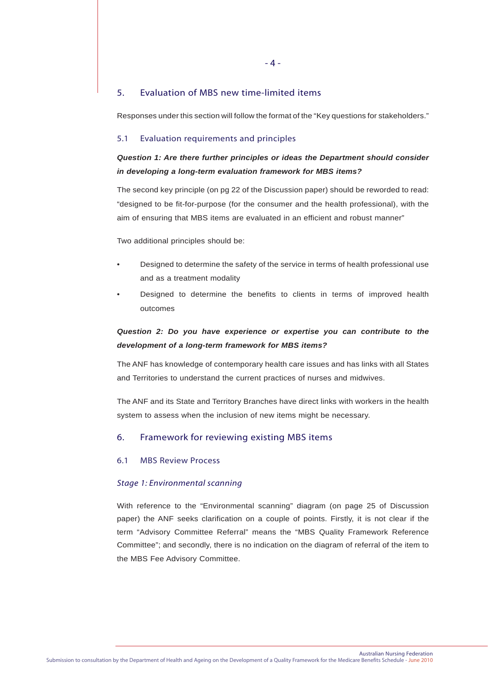## 5. Evaluation of MBS new time-limited items

Responses under this section will follow the format of the "Key questions for stakeholders."

## 5.1 Evaluation requirements and principles

## *Question 1: Are there further principles or ideas the Department should consider in developing a long-term evaluation framework for MBS items?*

The second key principle (on pg 22 of the Discussion paper) should be reworded to read: "designed to be fit-for-purpose (for the consumer and the health professional), with the aim of ensuring that MBS items are evaluated in an efficient and robust manner"

Two additional principles should be:

- Designed to determine the safety of the service in terms of health professional use and as a treatment modality
- Designed to determine the benefits to clients in terms of improved health outcomes

## *Question 2: Do you have experience or expertise you can contribute to the development of a long-term framework for MBS items?*

The ANF has knowledge of contemporary health care issues and has links with all States and Territories to understand the current practices of nurses and midwives.

The ANF and its State and Territory Branches have direct links with workers in the health system to assess when the inclusion of new items might be necessary.

## 6. Framework for reviewing existing MBS items

## 6.1 MBS Review Process

## *Stage 1: Environmental scanning*

With reference to the "Environmental scanning" diagram (on page 25 of Discussion paper) the ANF seeks clarification on a couple of points. Firstly, it is not clear if the term "Advisory Committee Referral" means the "MBS Quality Framework Reference Committee"; and secondly, there is no indication on the diagram of referral of the item to the MBS Fee Advisory Committee.

Australian Nursing Federation Submission to consultation by the Department of Health and Ageing on the Development of a Quality Framework for the Medicare Benefits Schedule - June 2010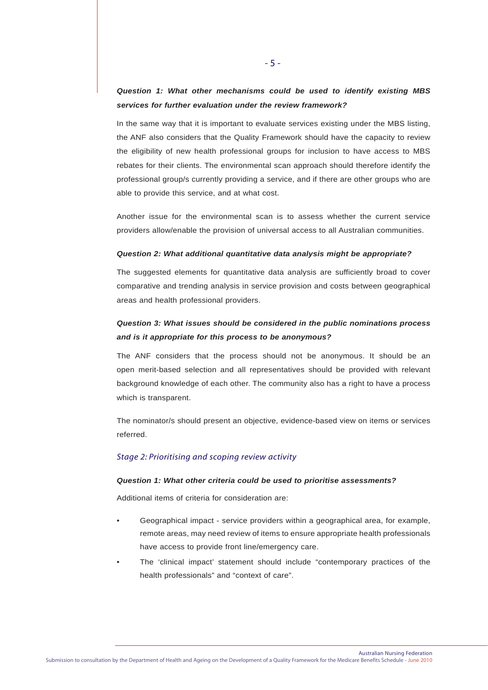## *Question 1: What other mechanisms could be used to identify existing MBS services for further evaluation under the review framework?*

In the same way that it is important to evaluate services existing under the MBS listing, the ANF also considers that the Quality Framework should have the capacity to review the eligibility of new health professional groups for inclusion to have access to MBS rebates for their clients. The environmental scan approach should therefore identify the professional group/s currently providing a service, and if there are other groups who are able to provide this service, and at what cost.

Another issue for the environmental scan is to assess whether the current service providers allow/enable the provision of universal access to all Australian communities.

#### *Question 2: What additional quantitative data analysis might be appropriate?*

The suggested elements for quantitative data analysis are sufficiently broad to cover comparative and trending analysis in service provision and costs between geographical areas and health professional providers.

## *Question 3: What issues should be considered in the public nominations process and is it appropriate for this process to be anonymous?*

The ANF considers that the process should not be anonymous. It should be an open merit-based selection and all representatives should be provided with relevant background knowledge of each other. The community also has a right to have a process which is transparent.

The nominator/s should present an objective, evidence-based view on items or services referred.

## *Stage 2: Prioritising and scoping review activity*

#### *Question 1: What other criteria could be used to prioritise assessments?*

Additional items of criteria for consideration are:

- Geographical impact service providers within a geographical area, for example, remote areas, may need review of items to ensure appropriate health professionals have access to provide front line/emergency care.
- The 'clinical impact' statement should include "contemporary practices of the health professionals" and "context of care".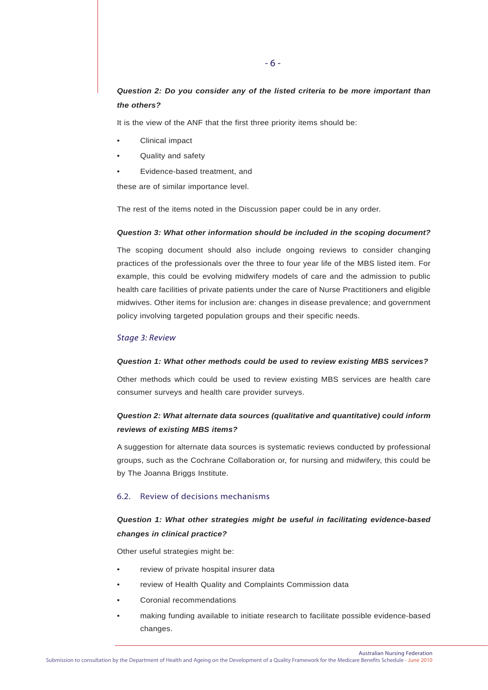## *Question 2: Do you consider any of the listed criteria to be more important than the others?*

It is the view of the ANF that the first three priority items should be:

- Clinical impact
- Quality and safety
- Evidence-based treatment, and

these are of similar importance level.

The rest of the items noted in the Discussion paper could be in any order.

#### *Question 3: What other information should be included in the scoping document?*

The scoping document should also include ongoing reviews to consider changing practices of the professionals over the three to four year life of the MBS listed item. For example, this could be evolving midwifery models of care and the admission to public health care facilities of private patients under the care of Nurse Practitioners and eligible midwives. Other items for inclusion are: changes in disease prevalence; and government policy involving targeted population groups and their specific needs.

## *Stage 3: Review*

#### *Question 1: What other methods could be used to review existing MBS services?*

Other methods which could be used to review existing MBS services are health care consumer surveys and health care provider surveys.

## *Question 2: What alternate data sources (qualitative and quantitative) could inform reviews of existing MBS items?*

A suggestion for alternate data sources is systematic reviews conducted by professional groups, such as the Cochrane Collaboration or, for nursing and midwifery, this could be by The Joanna Briggs Institute.

## 6.2. Review of decisions mechanisms

## *Question 1: What other strategies might be useful in facilitating evidence-based changes in clinical practice?*

Other useful strategies might be:

- review of private hospital insurer data
- review of Health Quality and Complaints Commission data
- Coronial recommendations
- making funding available to initiate research to facilitate possible evidence-based changes.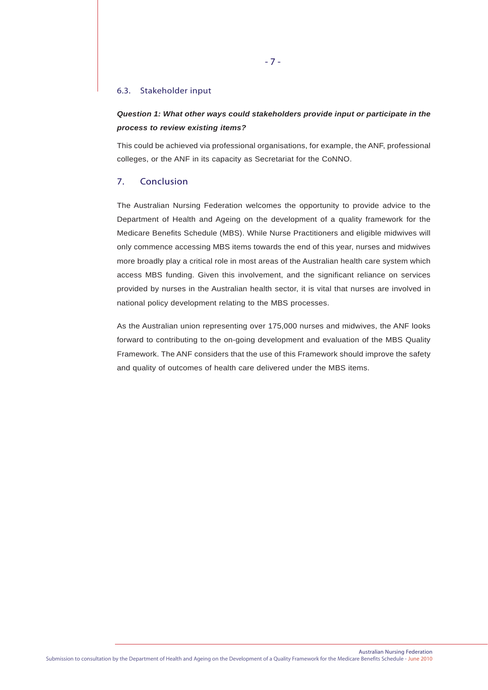#### 6.3. Stakeholder input

## *Question 1: What other ways could stakeholders provide input or participate in the process to review existing items?*

This could be achieved via professional organisations, for example, the ANF, professional colleges, or the ANF in its capacity as Secretariat for the CoNNO.

## 7. Conclusion

The Australian Nursing Federation welcomes the opportunity to provide advice to the Department of Health and Ageing on the development of a quality framework for the Medicare Benefits Schedule (MBS). While Nurse Practitioners and eligible midwives will only commence accessing MBS items towards the end of this year, nurses and midwives more broadly play a critical role in most areas of the Australian health care system which access MBS funding. Given this involvement, and the significant reliance on services provided by nurses in the Australian health sector, it is vital that nurses are involved in national policy development relating to the MBS processes.

As the Australian union representing over 175,000 nurses and midwives, the ANF looks forward to contributing to the on-going development and evaluation of the MBS Quality Framework. The ANF considers that the use of this Framework should improve the safety and quality of outcomes of health care delivered under the MBS items.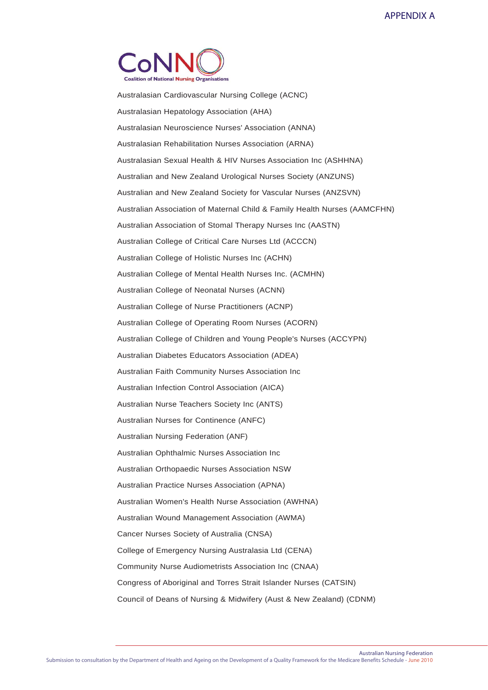

Australasian Cardiovascular Nursing College (ACNC) Australasian Hepatology Association (AHA) Australasian Neuroscience Nurses' Association (ANNA) Australasian Rehabilitation Nurses Association (ARNA) Australasian Sexual Health & HIV Nurses Association Inc (ASHHNA) Australian and New Zealand Urological Nurses Society (ANZUNS) Australian and New Zealand Society for Vascular Nurses (ANZSVN) Australian Association of Maternal Child & Family Health Nurses (AAMCFHN) Australian Association of Stomal Therapy Nurses Inc (AASTN) Australian College of Critical Care Nurses Ltd (ACCCN) Australian College of Holistic Nurses Inc (ACHN) Australian College of Mental Health Nurses Inc. (ACMHN) Australian College of Neonatal Nurses (ACNN) Australian College of Nurse Practitioners (ACNP) Australian College of Operating Room Nurses (ACORN) Australian College of Children and Young People's Nurses (ACCYPN) Australian Diabetes Educators Association (ADEA) Australian Faith Community Nurses Association Inc Australian Infection Control Association (AICA) Australian Nurse Teachers Society Inc (ANTS) Australian Nurses for Continence (ANFC) Australian Nursing Federation (ANF) Australian Ophthalmic Nurses Association Inc Australian Orthopaedic Nurses Association NSW Australian Practice Nurses Association (APNA) Australian Women's Health Nurse Association (AWHNA) Australian Wound Management Association (AWMA) Cancer Nurses Society of Australia (CNSA) College of Emergency Nursing Australasia Ltd (CENA) Community Nurse Audiometrists Association Inc (CNAA) Congress of Aboriginal and Torres Strait Islander Nurses (CATSIN) Council of Deans of Nursing & Midwifery (Aust & New Zealand) (CDNM)